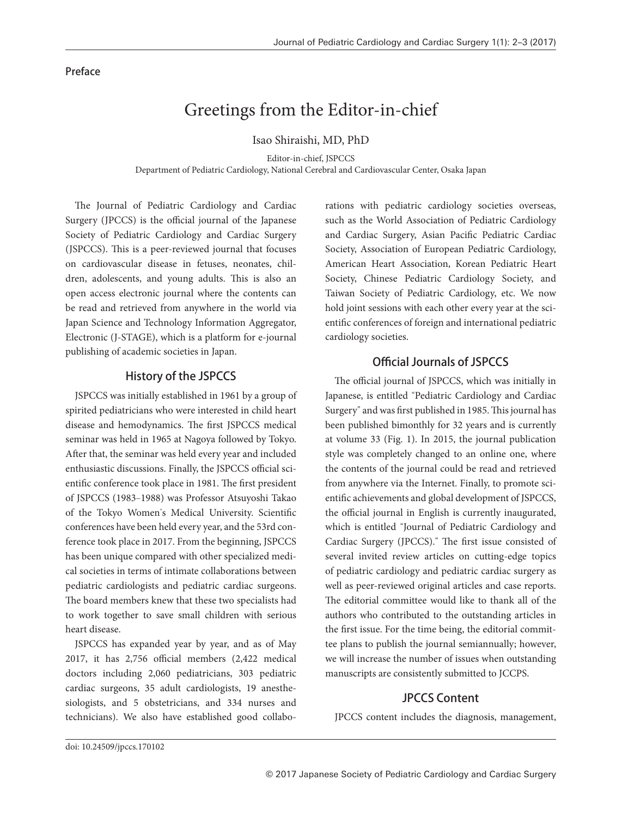#### Preface

# Greetings from the Editor-in-chief

Isao Shiraishi, MD, PhD

Editor-in-chief, JSPCCS Department of Pediatric Cardiology, National Cerebral and Cardiovascular Center, Osaka Japan

The Journal of Pediatric Cardiology and Cardiac Surgery (JPCCS) is the official journal of the Japanese Society of Pediatric Cardiology and Cardiac Surgery (JSPCCS). This is a peer-reviewed journal that focuses on cardiovascular disease in fetuses, neonates, children, adolescents, and young adults. This is also an open access electronic journal where the contents can be read and retrieved from anywhere in the world via Japan Science and Technology Information Aggregator, Electronic (J-STAGE), which is a platform for e-journal publishing of academic societies in Japan.

### History of the JSPCCS

JSPCCS was initially established in 1961 by a group of spirited pediatricians who were interested in child heart disease and hemodynamics. The first JSPCCS medical seminar was held in 1965 at Nagoya followed by Tokyo. After that, the seminar was held every year and included enthusiastic discussions. Finally, the JSPCCS official scientific conference took place in 1981. The first president of JSPCCS (1983-1988) was Professor Atsuyoshi Takao of the Tokyo Women's Medical University. Scientific conferences have been held every year, and the 53rd conference took place in 2017. From the beginning, JSPCCS has been unique compared with other specialized medical societies in terms of intimate collaborations between pediatric cardiologists and pediatric cardiac surgeons. The board members knew that these two specialists had to work together to save small children with serious heart disease.

JSPCCS has expanded year by year, and as of May 2017, it has 2,756 official members (2,422 medical doctors including 2,060 pediatricians, 303 pediatric cardiac surgeons, 35 adult cardiologists, 19 anesthesiologists, and 5 obstetricians, and 334 nurses and technicians). We also have established good collaborations with pediatric cardiology societies overseas, such as the World Association of Pediatric Cardiology and Cardiac Surgery, Asian Pacific Pediatric Cardiac Society, Association of European Pediatric Cardiology, American Heart Association, Korean Pediatric Heart Society, Chinese Pediatric Cardiology Society, and Taiwan Society of Pediatric Cardiology, etc. We now hold joint sessions with each other every year at the scientific conferences of foreign and international pediatric cardiology societies.

## Official Journals of JSPCCS

The official journal of JSPCCS, which was initially in Japanese, is entitled "Pediatric Cardiology and Cardiac Surgery" and was first published in 1985. This journal has been published bimonthly for 32 years and is currently at volume 33 (Fig. 1). In 2015, the journal publication style was completely changed to an online one, where the contents of the journal could be read and retrieved from anywhere via the Internet. Finally, to promote scientific achievements and global development of JSPCCS, the official journal in English is currently inaugurated, which is entitled "Journal of Pediatric Cardiology and Cardiac Surgery (JPCCS)." The first issue consisted of several invited review articles on cutting-edge topics of pediatric cardiology and pediatric cardiac surgery as well as peer-reviewed original articles and case reports. The editorial committee would like to thank all of the authors who contributed to the outstanding articles in the first issue. For the time being, the editorial committee plans to publish the journal semiannually; however, we will increase the number of issues when outstanding manuscripts are consistently submitted to JCCPS.

## JPCCS Content

JPCCS content includes the diagnosis, management,